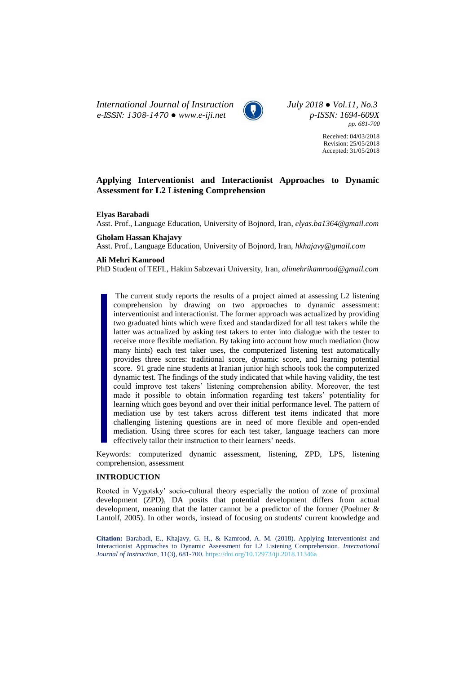*International Journal of Instruction July 2018 ● Vol.11, No.3 e-ISSN: 1308-1470 ● [www.e-iji.net](http://www.e-iji.net/) p-ISSN: 1694-609X*



*pp. 681-700*

Received: 04/03/2018 Revision: 25/05/2018 Accepted: 31/05/2018

# **Applying Interventionist and Interactionist Approaches to Dynamic Assessment for L2 Listening Comprehension**

# **Elyas Barabadi**

Asst. Prof., Language Education, University of Bojnord, Iran, *elyas.ba1364@gmail.com*

### **Gholam Hassan Khajavy**

Asst. Prof., Language Education, University of Bojnord, Iran, *hkhajavy@gmail.com*

## **Ali Mehri Kamrood**

PhD Student of TEFL, Hakim Sabzevari University, Iran, *alimehrikamrood@gmail.com*

The current study reports the results of a project aimed at assessing L2 listening comprehension by drawing on two approaches to dynamic assessment: interventionist and interactionist. The former approach was actualized by providing two graduated hints which were fixed and standardized for all test takers while the latter was actualized by asking test takers to enter into dialogue with the tester to receive more flexible mediation. By taking into account how much mediation (how many hints) each test taker uses, the computerized listening test automatically provides three scores: traditional score, dynamic score, and learning potential score. 91 grade nine students at Iranian junior high schools took the computerized dynamic test. The findings of the study indicated that while having validity, the test could improve test takers' listening comprehension ability. Moreover, the test made it possible to obtain information regarding test takers' potentiality for learning which goes beyond and over their initial performance level. The pattern of mediation use by test takers across different test items indicated that more challenging listening questions are in need of more flexible and open-ended mediation. Using three scores for each test taker, language teachers can more effectively tailor their instruction to their learners' needs.

Keywords: computerized dynamic assessment, listening, ZPD, LPS, listening comprehension, assessment

# **INTRODUCTION**

Rooted in Vygotsky' socio-cultural theory especially the notion of zone of proximal development (ZPD), DA posits that potential development differs from actual development, meaning that the latter cannot be a predictor of the former (Poehner & Lantolf, 2005). In other words, instead of focusing on students' current knowledge and

**Citation:** Barabadi, E., Khajavy, G. H., & Kamrood, A. M. (2018). Applying Interventionist and Interactionist Approaches to Dynamic Assessment for L2 Listening Comprehension. *International Journal of Instruction*, 11(3), 681-700. <https://doi.org/10.12973/iji.2018.11346a>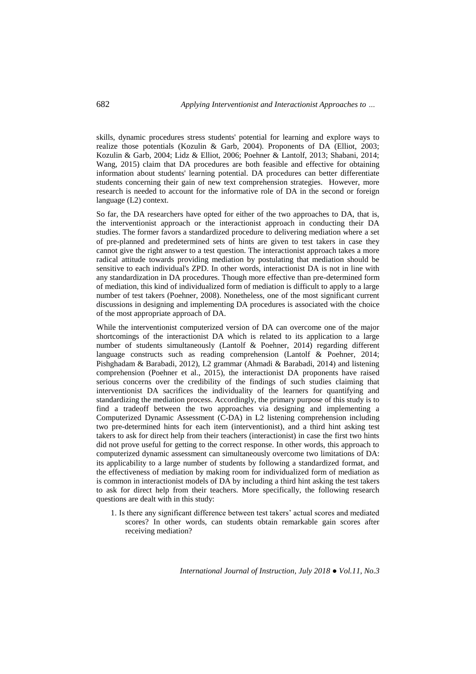skills, dynamic procedures stress students' potential for learning and explore ways to realize those potentials (Kozulin & Garb, 2004). Proponents of DA (Elliot, 2003; Kozulin & Garb, 2004; Lidz & Elliot, 2006; Poehner & Lantolf, 2013; Shabani, 2014; Wang, 2015) claim that DA procedures are both feasible and effective for obtaining information about students' learning potential. DA procedures can better differentiate students concerning their gain of new text comprehension strategies. However, more research is needed to account for the informative role of DA in the second or foreign language (L2) context.

So far, the DA researchers have opted for either of the two approaches to DA, that is, the interventionist approach or the interactionist approach in conducting their DA studies. The former favors a standardized procedure to delivering mediation where a set of pre-planned and predetermined sets of hints are given to test takers in case they cannot give the right answer to a test question. The interactionist approach takes a more radical attitude towards providing mediation by postulating that mediation should be sensitive to each individual's ZPD. In other words, interactionist DA is not in line with any standardization in DA procedures. Though more effective than pre-determined form of mediation, this kind of individualized form of mediation is difficult to apply to a large number of test takers (Poehner, 2008). Nonetheless, one of the most significant current discussions in designing and implementing DA procedures is associated with the choice of the most appropriate approach of DA.

While the interventionist computerized version of DA can overcome one of the major shortcomings of the interactionist DA which is related to its application to a large number of students simultaneously (Lantolf & Poehner, 2014) regarding different language constructs such as reading comprehension (Lantolf & Poehner, 2014; Pishghadam & Barabadi, 2012), L2 grammar (Ahmadi & Barabadi, 2014) and listening comprehension (Poehner et al., 2015), the interactionist DA proponents have raised serious concerns over the credibility of the findings of such studies claiming that interventionist DA sacrifices the individuality of the learners for quantifying and standardizing the mediation process. Accordingly, the primary purpose of this study is to find a tradeoff between the two approaches via designing and implementing a Computerized Dynamic Assessment (C-DA) in L2 listening comprehension including two pre-determined hints for each item (interventionist), and a third hint asking test takers to ask for direct help from their teachers (interactionist) in case the first two hints did not prove useful for getting to the correct response. In other words, this approach to computerized dynamic assessment can simultaneously overcome two limitations of DA: its applicability to a large number of students by following a standardized format, and the effectiveness of mediation by making room for individualized form of mediation as is common in interactionist models of DA by including a third hint asking the test takers to ask for direct help from their teachers. More specifically, the following research questions are dealt with in this study:

1. Is there any significant difference between test takers' actual scores and mediated scores? In other words, can students obtain remarkable gain scores after receiving mediation?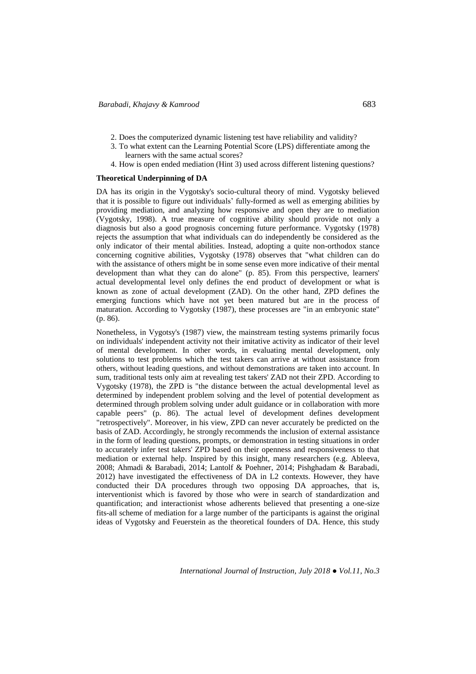- 2. Does the computerized dynamic listening test have reliability and validity?
- 3. To what extent can the Learning Potential Score (LPS) differentiate among the learners with the same actual scores?
- 4. How is open ended mediation (Hint 3) used across different listening questions?

### **Theoretical Underpinning of DA**

DA has its origin in the Vygotsky's socio-cultural theory of mind. Vygotsky believed that it is possible to figure out individuals' fully-formed as well as emerging abilities by providing mediation, and analyzing how responsive and open they are to mediation (Vygotsky, 1998). A true measure of cognitive ability should provide not only a diagnosis but also a good prognosis concerning future performance. Vygotsky (1978) rejects the assumption that what individuals can do independently be considered as the only indicator of their mental abilities. Instead, adopting a quite non-orthodox stance concerning cognitive abilities, Vygotsky (1978) observes that "what children can do with the assistance of others might be in some sense even more indicative of their mental development than what they can do alone" (p. 85). From this perspective, learners' actual developmental level only defines the end product of development or what is known as zone of actual development (ZAD). On the other hand, ZPD defines the emerging functions which have not yet been matured but are in the process of maturation. According to Vygotsky (1987), these processes are "in an embryonic state" (p. 86).

Nonetheless, in Vygotsy's (1987) view, the mainstream testing systems primarily focus on individuals' independent activity not their imitative activity as indicator of their level of mental development. In other words, in evaluating mental development, only solutions to test problems which the test takers can arrive at without assistance from others, without leading questions, and without demonstrations are taken into account. In sum, traditional tests only aim at revealing test takers' ZAD not their ZPD. According to Vygotsky (1978), the ZPD is "the distance between the actual developmental level as determined by independent problem solving and the level of potential development as determined through problem solving under adult guidance or in collaboration with more capable peers" (p. 86). The actual level of development defines development "retrospectively". Moreover, in his view, ZPD can never accurately be predicted on the basis of ZAD. Accordingly, he strongly recommends the inclusion of external assistance in the form of leading questions, prompts, or demonstration in testing situations in order to accurately infer test takers' ZPD based on their openness and responsiveness to that mediation or external help. Inspired by this insight, many researchers (e.g. Ableeva, 2008; Ahmadi & Barabadi, 2014; Lantolf & Poehner, 2014; Pishghadam & Barabadi, 2012) have investigated the effectiveness of DA in L2 contexts. However, they have conducted their DA procedures through two opposing DA approaches, that is, interventionist which is favored by those who were in search of standardization and quantification; and interactionist whose adherents believed that presenting a one-size fits-all scheme of mediation for a large number of the participants is against the original ideas of Vygotsky and Feuerstein as the theoretical founders of DA. Hence, this study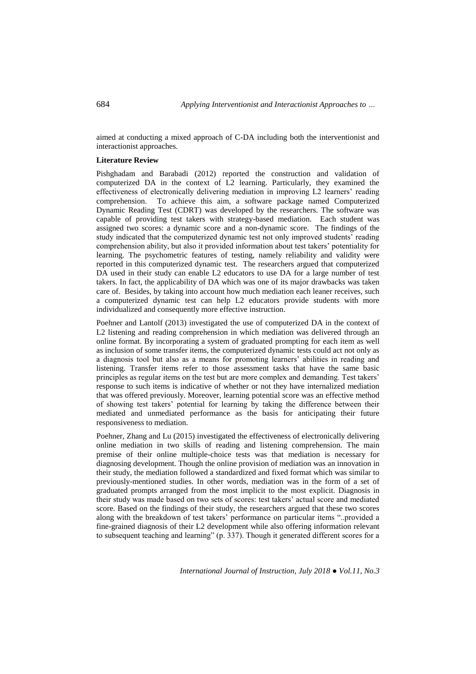aimed at conducting a mixed approach of C-DA including both the interventionist and interactionist approaches.

### **Literature Review**

Pishghadam and Barabadi (2012) reported the construction and validation of computerized DA in the context of L2 learning. Particularly, they examined the effectiveness of electronically delivering mediation in improving L2 learners' reading comprehension. To achieve this aim, a software package named Computerized Dynamic Reading Test (CDRT) was developed by the researchers. The software was capable of providing test takers with strategy-based mediation. Each student was assigned two scores: a dynamic score and a non-dynamic score. The findings of the study indicated that the computerized dynamic test not only improved students' reading comprehension ability, but also it provided information about test takers' potentiality for learning. The psychometric features of testing, namely reliability and validity were reported in this computerized dynamic test. The researchers argued that computerized DA used in their study can enable L2 educators to use DA for a large number of test takers. In fact, the applicability of DA which was one of its major drawbacks was taken care of. Besides, by taking into account how much mediation each leaner receives, such a computerized dynamic test can help L2 educators provide students with more individualized and consequently more effective instruction.

Poehner and Lantolf (2013) investigated the use of computerized DA in the context of L2 listening and reading comprehension in which mediation was delivered through an online format. By incorporating a system of graduated prompting for each item as well as inclusion of some transfer items, the computerized dynamic tests could act not only as a diagnosis tool but also as a means for promoting learners' abilities in reading and listening. Transfer items refer to those assessment tasks that have the same basic principles as regular items on the test but are more complex and demanding. Test takers' response to such items is indicative of whether or not they have internalized mediation that was offered previously. Moreover, learning potential score was an effective method of showing test takers' potential for learning by taking the difference between their mediated and unmediated performance as the basis for anticipating their future responsiveness to mediation.

Poehner, Zhang and Lu (2015) investigated the effectiveness of electronically delivering online mediation in two skills of reading and listening comprehension. The main premise of their online multiple-choice tests was that mediation is necessary for diagnosing development. Though the online provision of mediation was an innovation in their study, the mediation followed a standardized and fixed format which was similar to previously-mentioned studies. In other words, mediation was in the form of a set of graduated prompts arranged from the most implicit to the most explicit. Diagnosis in their study was made based on two sets of scores: test takers' actual score and mediated score. Based on the findings of their study, the researchers argued that these two scores along with the breakdown of test takers' performance on particular items "..provided a fine-grained diagnosis of their L2 development while also offering information relevant to subsequent teaching and learning" (p. 337). Though it generated different scores for a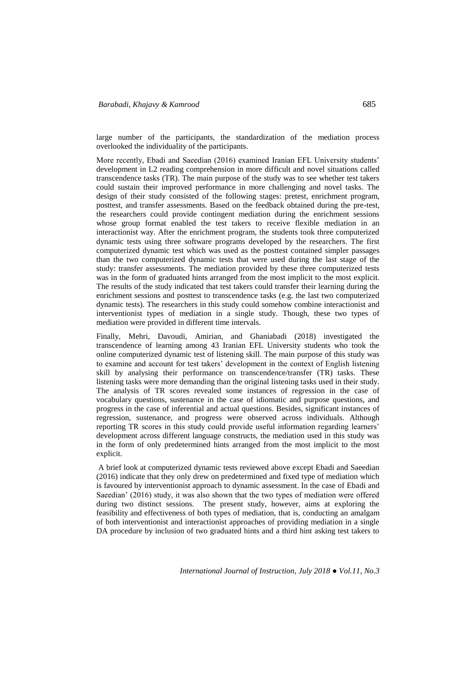large number of the participants, the standardization of the mediation process overlooked the individuality of the participants.

More recently, Ebadi and Saeedian (2016) examined Iranian EFL University students' development in L2 reading comprehension in more difficult and novel situations called transcendence tasks (TR). The main purpose of the study was to see whether test takers could sustain their improved performance in more challenging and novel tasks. The design of their study consisted of the following stages: pretest, enrichment program, posttest, and transfer assessments. Based on the feedback obtained during the pre-test, the researchers could provide contingent mediation during the enrichment sessions whose group format enabled the test takers to receive flexible mediation in an interactionist way. After the enrichment program, the students took three computerized dynamic tests using three software programs developed by the researchers. The first computerized dynamic test which was used as the posttest contained simpler passages than the two computerized dynamic tests that were used during the last stage of the study: transfer assessments. The mediation provided by these three computerized tests was in the form of graduated hints arranged from the most implicit to the most explicit. The results of the study indicated that test takers could transfer their learning during the enrichment sessions and posttest to transcendence tasks (e.g. the last two computerized dynamic tests). The researchers in this study could somehow combine interactionist and interventionist types of mediation in a single study. Though, these two types of mediation were provided in different time intervals.

Finally, Mehri, Davoudi, Amirian, and Ghaniabadi (2018) investigated the transcendence of learning among 43 Iranian EFL University students who took the online computerized dynamic test of listening skill. The main purpose of this study was to examine and account for test takers' development in the context of English listening skill by analysing their performance on transcendence/transfer (TR) tasks. These listening tasks were more demanding than the original listening tasks used in their study. The analysis of TR scores revealed some instances of regression in the case of vocabulary questions, sustenance in the case of idiomatic and purpose questions, and progress in the case of inferential and actual questions. Besides, significant instances of regression, sustenance, and progress were observed across individuals. Although reporting TR scores in this study could provide useful information regarding learners' development across different language constructs, the mediation used in this study was in the form of only predetermined hints arranged from the most implicit to the most explicit.

A brief look at computerized dynamic tests reviewed above except Ebadi and Saeedian (2016) indicate that they only drew on predetermined and fixed type of mediation which is favoured by interventionist approach to dynamic assessment. In the case of Ebadi and Saeedian' (2016) study, it was also shown that the two types of mediation were offered during two distinct sessions. The present study, however, aims at exploring the feasibility and effectiveness of both types of mediation, that is, conducting an amalgam of both interventionist and interactionist approaches of providing mediation in a single DA procedure by inclusion of two graduated hints and a third hint asking test takers to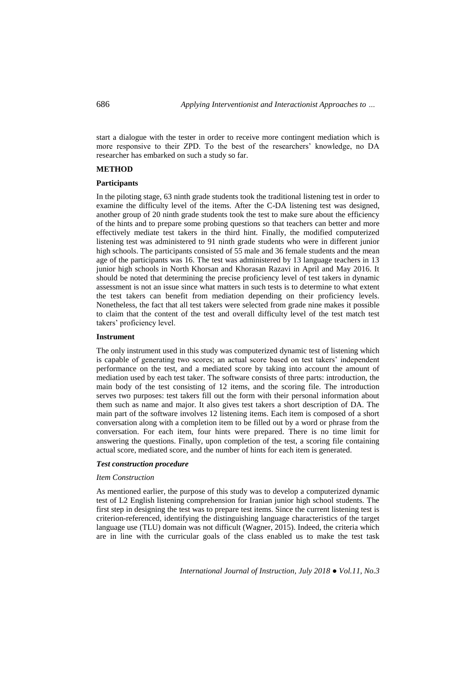start a dialogue with the tester in order to receive more contingent mediation which is more responsive to their ZPD. To the best of the researchers' knowledge, no DA researcher has embarked on such a study so far.

# **METHOD**

# **Participants**

In the piloting stage, 63 ninth grade students took the traditional listening test in order to examine the difficulty level of the items. After the C-DA listening test was designed, another group of 20 ninth grade students took the test to make sure about the efficiency of the hints and to prepare some probing questions so that teachers can better and more effectively mediate test takers in the third hint. Finally, the modified computerized listening test was administered to 91 ninth grade students who were in different junior high schools. The participants consisted of 55 male and 36 female students and the mean age of the participants was 16. The test was administered by 13 language teachers in 13 junior high schools in North Khorsan and Khorasan Razavi in April and May 2016. It should be noted that determining the precise proficiency level of test takers in dynamic assessment is not an issue since what matters in such tests is to determine to what extent the test takers can benefit from mediation depending on their proficiency levels. Nonetheless, the fact that all test takers were selected from grade nine makes it possible to claim that the content of the test and overall difficulty level of the test match test takers' proficiency level.

# **Instrument**

The only instrument used in this study was computerized dynamic test of listening which is capable of generating two scores; an actual score based on test takers' independent performance on the test, and a mediated score by taking into account the amount of mediation used by each test taker. The software consists of three parts: introduction, the main body of the test consisting of 12 items, and the scoring file. The introduction serves two purposes: test takers fill out the form with their personal information about them such as name and major. It also gives test takers a short description of DA. The main part of the software involves 12 listening items. Each item is composed of a short conversation along with a completion item to be filled out by a word or phrase from the conversation. For each item, four hints were prepared. There is no time limit for answering the questions. Finally, upon completion of the test, a scoring file containing actual score, mediated score, and the number of hints for each item is generated.

# *Test construction procedure*

#### *Item Construction*

As mentioned earlier, the purpose of this study was to develop a computerized dynamic test of L2 English listening comprehension for Iranian junior high school students. The first step in designing the test was to prepare test items. Since the current listening test is criterion-referenced, identifying the distinguishing language characteristics of the target language use (TLU) domain was not difficult (Wagner, 2015). Indeed, the criteria which are in line with the curricular goals of the class enabled us to make the test task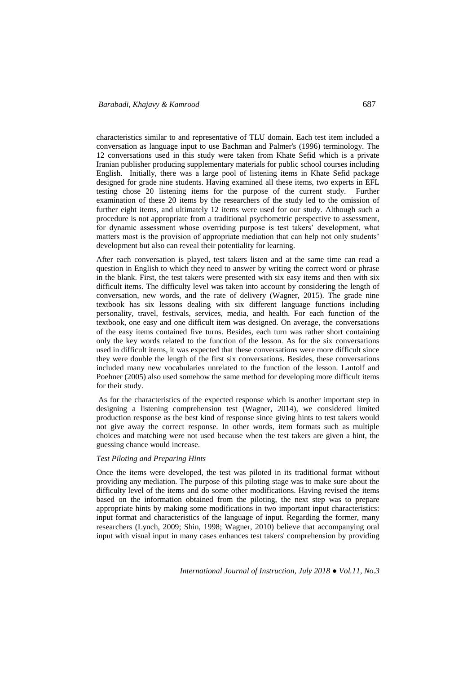characteristics similar to and representative of TLU domain. Each test item included a conversation as language input to use Bachman and Palmer's (1996) terminology. The 12 conversations used in this study were taken from Khate Sefid which is a private Iranian publisher producing supplementary materials for public school courses including English. Initially, there was a large pool of listening items in Khate Sefid package designed for grade nine students. Having examined all these items, two experts in EFL testing chose 20 listening items for the purpose of the current study. Further examination of these 20 items by the researchers of the study led to the omission of further eight items, and ultimately 12 items were used for our study. Although such a procedure is not appropriate from a traditional psychometric perspective to assessment, for dynamic assessment whose overriding purpose is test takers' development, what matters most is the provision of appropriate mediation that can help not only students' development but also can reveal their potentiality for learning.

After each conversation is played, test takers listen and at the same time can read a question in English to which they need to answer by writing the correct word or phrase in the blank. First, the test takers were presented with six easy items and then with six difficult items. The difficulty level was taken into account by considering the length of conversation, new words, and the rate of delivery (Wagner, 2015). The grade nine textbook has six lessons dealing with six different language functions including personality, travel, festivals, services, media, and health. For each function of the textbook, one easy and one difficult item was designed. On average, the conversations of the easy items contained five turns. Besides, each turn was rather short containing only the key words related to the function of the lesson. As for the six conversations used in difficult items, it was expected that these conversations were more difficult since they were double the length of the first six conversations. Besides, these conversations included many new vocabularies unrelated to the function of the lesson. Lantolf and Poehner (2005) also used somehow the same method for developing more difficult items for their study.

As for the characteristics of the expected response which is another important step in designing a listening comprehension test (Wagner, 2014), we considered limited production response as the best kind of response since giving hints to test takers would not give away the correct response. In other words, item formats such as multiple choices and matching were not used because when the test takers are given a hint, the guessing chance would increase.

# *Test Piloting and Preparing Hints*

Once the items were developed, the test was piloted in its traditional format without providing any mediation. The purpose of this piloting stage was to make sure about the difficulty level of the items and do some other modifications. Having revised the items based on the information obtained from the piloting, the next step was to prepare appropriate hints by making some modifications in two important input characteristics: input format and characteristics of the language of input. Regarding the former, many researchers (Lynch, 2009; Shin, 1998; Wagner, 2010) believe that accompanying oral input with visual input in many cases enhances test takers' comprehension by providing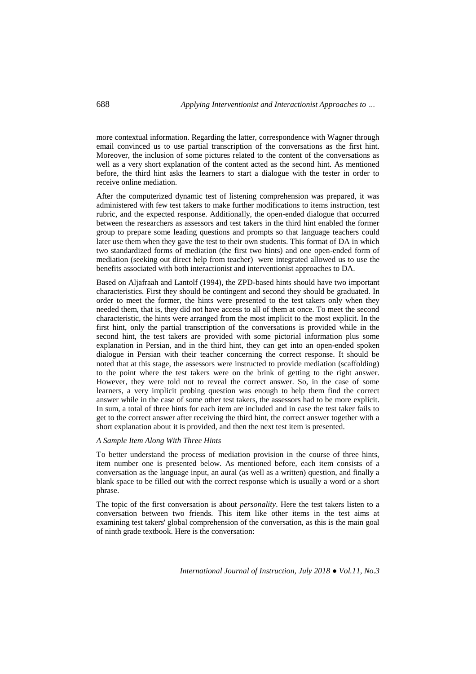more contextual information. Regarding the latter, correspondence with Wagner through email convinced us to use partial transcription of the conversations as the first hint. Moreover, the inclusion of some pictures related to the content of the conversations as well as a very short explanation of the content acted as the second hint. As mentioned before, the third hint asks the learners to start a dialogue with the tester in order to receive online mediation.

After the computerized dynamic test of listening comprehension was prepared, it was administered with few test takers to make further modifications to items instruction, test rubric, and the expected response. Additionally, the open-ended dialogue that occurred between the researchers as assessors and test takers in the third hint enabled the former group to prepare some leading questions and prompts so that language teachers could later use them when they gave the test to their own students. This format of DA in which two standardized forms of mediation (the first two hints) and one open-ended form of mediation (seeking out direct help from teacher) were integrated allowed us to use the benefits associated with both interactionist and interventionist approaches to DA.

Based on Aljafraah and Lantolf (1994), the ZPD-based hints should have two important characteristics. First they should be contingent and second they should be graduated. In order to meet the former, the hints were presented to the test takers only when they needed them, that is, they did not have access to all of them at once. To meet the second characteristic, the hints were arranged from the most implicit to the most explicit. In the first hint, only the partial transcription of the conversations is provided while in the second hint, the test takers are provided with some pictorial information plus some explanation in Persian, and in the third hint, they can get into an open-ended spoken dialogue in Persian with their teacher concerning the correct response. It should be noted that at this stage, the assessors were instructed to provide mediation (scaffolding) to the point where the test takers were on the brink of getting to the right answer. However, they were told not to reveal the correct answer. So, in the case of some learners, a very implicit probing question was enough to help them find the correct answer while in the case of some other test takers, the assessors had to be more explicit. In sum, a total of three hints for each item are included and in case the test taker fails to get to the correct answer after receiving the third hint, the correct answer together with a short explanation about it is provided, and then the next test item is presented.

#### *A Sample Item Along With Three Hints*

To better understand the process of mediation provision in the course of three hints, item number one is presented below. As mentioned before, each item consists of a conversation as the language input, an aural (as well as a written) question, and finally a blank space to be filled out with the correct response which is usually a word or a short phrase.

The topic of the first conversation is about *personality*. Here the test takers listen to a conversation between two friends. This item like other items in the test aims at examining test takers' global comprehension of the conversation, as this is the main goal of ninth grade textbook. Here is the conversation: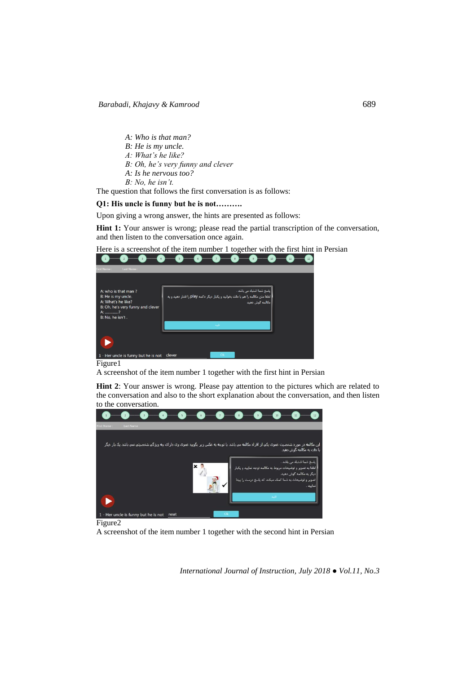- *A: Who is that man?*
- *B: He is my uncle.*
- *A: What's he like?*
- *B: Oh, he's very funny and clever*
- *A: Is he nervous too?*
- *B: No, he isn't.*

The question that follows the first conversation is as follows:

### **Q1: His uncle is funny but he is not……….**

Upon giving a wrong answer, the hints are presented as follows:

**Hint 1:** Your answer is wrong; please read the partial transcription of the conversation, and then listen to the conversation once again.



|                                                                                                                                  | 10                                                                                                                                     |
|----------------------------------------------------------------------------------------------------------------------------------|----------------------------------------------------------------------------------------------------------------------------------------|
| First Name:<br>Last Name:                                                                                                        |                                                                                                                                        |
| A: who is that man?<br>B: He is my uncle.<br>A: What's he like?<br>B: Oh, he's very funny and clever<br>A: ?<br>B: No, he isn't. | پاسخ شما اشتباه می باشد .<br>لطفا متن مكالمه را هم با دقت بخوانيد و يكبار ديگر دكمه play را فشار دهيد و به<br>مكالمه گوش دهيد<br>تاييد |
|                                                                                                                                  |                                                                                                                                        |
| 1 - Her uncle is funny but he is not<br>$ -$                                                                                     | O <sub>k</sub><br>clever                                                                                                               |

Figure1

A screenshot of the item number 1 together with the first hint in Persian

**Hint 2**: Your answer is wrong. Please pay attention to the pictures which are related to the conversation and also to the short explanation about the conversation, and then listen to the conversation.



A screenshot of the item number 1 together with the second hint in Persian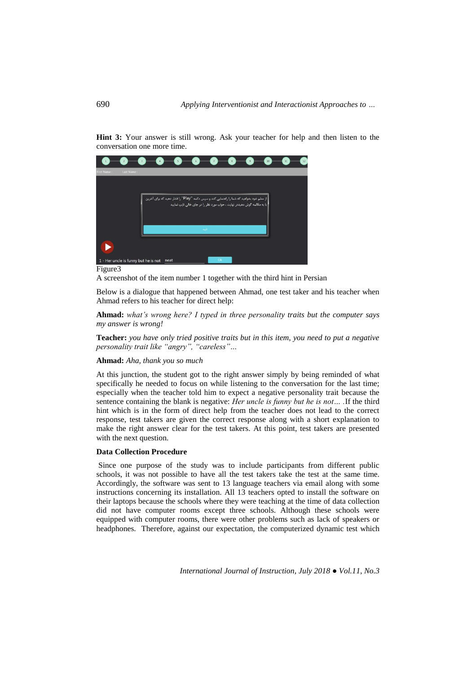معلم خود بخواهید که شما را راهنمایی کند و سپس دکمه "Play" را فشار دهید که برای آخ  $\blacktriangleright$ 1 - Her uncle is funny but he is not

**Hint 3:** Your answer is still wrong. Ask your teacher for help and then listen to the conversation one more time.

#### Figure3

A screenshot of the item number 1 together with the third hint in Persian

Below is a dialogue that happened between Ahmad, one test taker and his teacher when Ahmad refers to his teacher for direct help:

**Ahmad:** *what's wrong here? I typed in three personality traits but the computer says my answer is wrong!*

**Teacher:** *you have only tried positive traits but in this item, you need to put a negative personality trait like "angry", "careless"…*

## **Ahmad:** *Aha, thank you so much*

At this junction, the student got to the right answer simply by being reminded of what specifically he needed to focus on while listening to the conversation for the last time; especially when the teacher told him to expect a negative personality trait because the sentence containing the blank is negative: *Her uncle is funny but he is not… .*If the third hint which is in the form of direct help from the teacher does not lead to the correct response, test takers are given the correct response along with a short explanation to make the right answer clear for the test takers. At this point, test takers are presented with the next question.

# **Data Collection Procedure**

Since one purpose of the study was to include participants from different public schools, it was not possible to have all the test takers take the test at the same time. Accordingly, the software was sent to 13 language teachers via email along with some instructions concerning its installation. All 13 teachers opted to install the software on their laptops because the schools where they were teaching at the time of data collection did not have computer rooms except three schools. Although these schools were equipped with computer rooms, there were other problems such as lack of speakers or headphones. Therefore, against our expectation, the computerized dynamic test which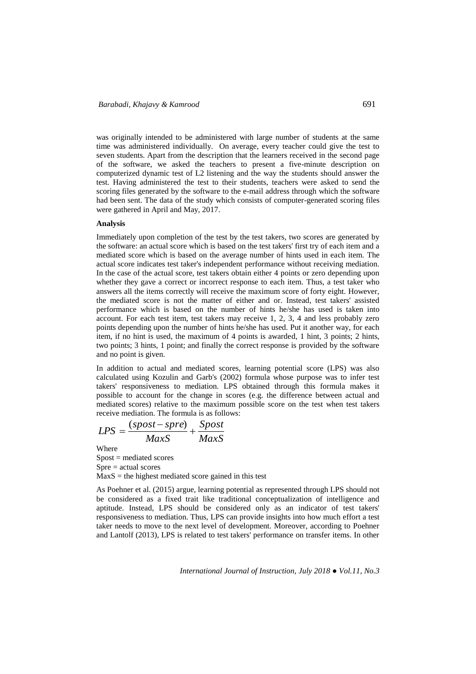was originally intended to be administered with large number of students at the same time was administered individually. On average, every teacher could give the test to seven students. Apart from the description that the learners received in the second page of the software, we asked the teachers to present a five-minute description on computerized dynamic test of L2 listening and the way the students should answer the test. Having administered the test to their students, teachers were asked to send the scoring files generated by the software to the e-mail address through which the software had been sent. The data of the study which consists of computer-generated scoring files were gathered in April and May, 2017.

## **Analysis**

Immediately upon completion of the test by the test takers, two scores are generated by the software: an actual score which is based on the test takers' first try of each item and a mediated score which is based on the average number of hints used in each item. The actual score indicates test taker's independent performance without receiving mediation. In the case of the actual score, test takers obtain either 4 points or zero depending upon whether they gave a correct or incorrect response to each item. Thus, a test taker who answers all the items correctly will receive the maximum score of forty eight. However, the mediated score is not the matter of either and or. Instead, test takers' assisted performance which is based on the number of hints he/she has used is taken into account. For each test item, test takers may receive 1, 2, 3, 4 and less probably zero points depending upon the number of hints he/she has used. Put it another way, for each item, if no hint is used, the maximum of 4 points is awarded, 1 hint, 3 points; 2 hints, two points; 3 hints, 1 point; and finally the correct response is provided by the software and no point is given.

In addition to actual and mediated scores, learning potential score (LPS) was also calculated using Kozulin and Garb's (2002) formula whose purpose was to infer test takers' responsiveness to mediation. LPS obtained through this formula makes it possible to account for the change in scores (e.g. the difference between actual and mediated scores) relative to the maximum possible score on the test when test takers receive mediation. The formula is as follows:

$$
LPS = \frac{(spost - spre)}{MaxS} + \frac{Spost}{MaxS}
$$

**Where** 

Spost = mediated scores Spre = actual scores  $MaxS$  = the highest mediated score gained in this test

As Poehner et al. (2015) argue, learning potential as represented through LPS should not be considered as a fixed trait like traditional conceptualization of intelligence and aptitude. Instead, LPS should be considered only as an indicator of test takers' responsiveness to mediation. Thus, LPS can provide insights into how much effort a test taker needs to move to the next level of development. Moreover, according to Poehner and Lantolf (2013), LPS is related to test takers' performance on transfer items. In other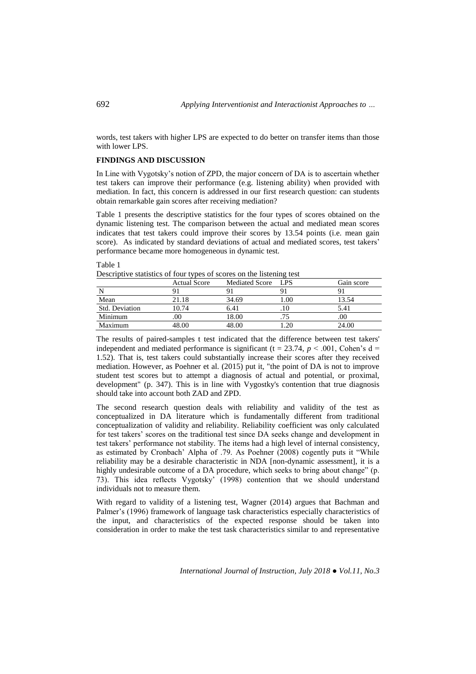words, test takers with higher LPS are expected to do better on transfer items than those with lower LPS.

# **FINDINGS AND DISCUSSION**

In Line with Vygotsky's notion of ZPD, the major concern of DA is to ascertain whether test takers can improve their performance (e.g. listening ability) when provided with mediation. In fact, this concern is addressed in our first research question: can students obtain remarkable gain scores after receiving mediation?

Table 1 presents the descriptive statistics for the four types of scores obtained on the dynamic listening test. The comparison between the actual and mediated mean scores indicates that test takers could improve their scores by 13.54 points (i.e. mean gain score). As indicated by standard deviations of actual and mediated scores, test takers' performance became more homogeneous in dynamic test.

Table 1

Descriptive statistics of four types of scores on the listening test

|                | <b>Actual Score</b> | Mediated Score LPS |     | Gain score |
|----------------|---------------------|--------------------|-----|------------|
|                |                     |                    |     |            |
| Mean           | 21.18               | 34.69              | .00 | 13.54      |
| Std. Deviation | 10.74               | 6.41               |     | 5.41       |
| Minimum        |                     | 18.00              |     |            |
| Maximum        | 8.00                | 48.00              |     | 24.00      |

The results of paired-samples t test indicated that the difference between test takers' independent and mediated performance is significant ( $t = 23.74$ ,  $p < .001$ , Cohen's d = 1.52). That is, test takers could substantially increase their scores after they received mediation. However, as Poehner et al. (2015) put it, "the point of DA is not to improve student test scores but to attempt a diagnosis of actual and potential, or proximal, development" (p. 347). This is in line with Vygostky's contention that true diagnosis should take into account both ZAD and ZPD.

The second research question deals with reliability and validity of the test as conceptualized in DA literature which is fundamentally different from traditional conceptualization of validity and reliability. Reliability coefficient was only calculated for test takers' scores on the traditional test since DA seeks change and development in test takers' performance not stability. The items had a high level of internal consistency, as estimated by Cronbach' Alpha of .79. As Poehner (2008) cogently puts it "While reliability may be a desirable characteristic in NDA [non-dynamic assessment], it is a highly undesirable outcome of a DA procedure, which seeks to bring about change" (p. 73). This idea reflects Vygotsky' (1998) contention that we should understand individuals not to measure them.

With regard to validity of a listening test, Wagner (2014) argues that Bachman and Palmer's (1996) framework of language task characteristics especially characteristics of the input, and characteristics of the expected response should be taken into consideration in order to make the test task characteristics similar to and representative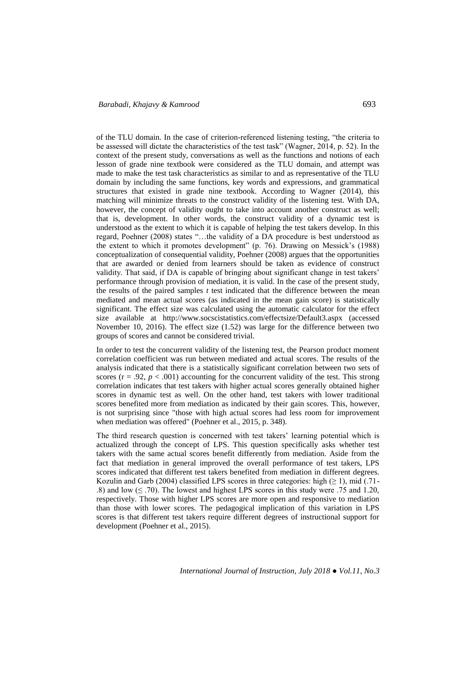of the TLU domain. In the case of criterion-referenced listening testing, "the criteria to be assessed will dictate the characteristics of the test task" (Wagner, 2014, p. 52). In the context of the present study, conversations as well as the functions and notions of each lesson of grade nine textbook were considered as the TLU domain, and attempt was made to make the test task characteristics as similar to and as representative of the TLU domain by including the same functions, key words and expressions, and grammatical structures that existed in grade nine textbook. According to Wagner (2014), this matching will minimize threats to the construct validity of the listening test. With DA, however, the concept of validity ought to take into account another construct as well; that is, development. In other words, the construct validity of a dynamic test is understood as the extent to which it is capable of helping the test takers develop. In this regard, Poehner (2008) states "…the validity of a DA procedure is best understood as the extent to which it promotes development" (p. 76). Drawing on Messick's (1988) conceptualization of consequential validity, Poehner (2008) argues that the opportunities that are awarded or denied from learners should be taken as evidence of construct validity. That said, if DA is capable of bringing about significant change in test takers' performance through provision of mediation, it is valid. In the case of the present study, the results of the paired samples *t* test indicated that the difference between the mean mediated and mean actual scores (as indicated in the mean gain score) is statistically significant. The effect size was calculated using the automatic calculator for the effect size available at http://www.socscistatistics.com/effectsize/Default3.aspx (accessed November 10, 2016). The effect size (1.52) was large for the difference between two groups of scores and cannot be considered trivial.

In order to test the concurrent validity of the listening test, the Pearson product moment correlation coefficient was run between mediated and actual scores. The results of the analysis indicated that there is a statistically significant correlation between two sets of scores ( $r = .92$ ,  $p < .001$ ) accounting for the concurrent validity of the test. This strong correlation indicates that test takers with higher actual scores generally obtained higher scores in dynamic test as well. On the other hand, test takers with lower traditional scores benefited more from mediation as indicated by their gain scores. This, however, is not surprising since "those with high actual scores had less room for improvement when mediation was offered" (Poehner et al., 2015, p. 348).

The third research question is concerned with test takers' learning potential which is actualized through the concept of LPS. This question specifically asks whether test takers with the same actual scores benefit differently from mediation. Aside from the fact that mediation in general improved the overall performance of test takers, LPS scores indicated that different test takers benefited from mediation in different degrees. Kozulin and Garb (2004) classified LPS scores in three categories: high  $(\geq 1)$ , mid (.71-.8) and low  $(\leq .70)$ . The lowest and highest LPS scores in this study were .75 and 1.20, respectively. Those with higher LPS scores are more open and responsive to mediation than those with lower scores. The pedagogical implication of this variation in LPS scores is that different test takers require different degrees of instructional support for development (Poehner et al., 2015).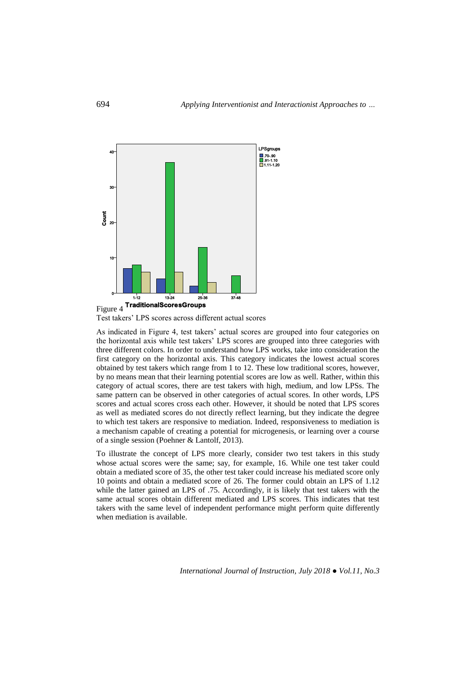

Test takers' LPS scores across different actual scores

As indicated in Figure 4, test takers' actual scores are grouped into four categories on the horizontal axis while test takers' LPS scores are grouped into three categories with three different colors. In order to understand how LPS works, take into consideration the first category on the horizontal axis. This category indicates the lowest actual scores obtained by test takers which range from 1 to 12. These low traditional scores, however, by no means mean that their learning potential scores are low as well. Rather, within this category of actual scores, there are test takers with high, medium, and low LPSs. The same pattern can be observed in other categories of actual scores. In other words, LPS scores and actual scores cross each other. However, it should be noted that LPS scores as well as mediated scores do not directly reflect learning, but they indicate the degree to which test takers are responsive to mediation. Indeed, responsiveness to mediation is a mechanism capable of creating a potential for microgenesis, or learning over a course of a single session (Poehner & Lantolf, 2013).

To illustrate the concept of LPS more clearly, consider two test takers in this study whose actual scores were the same; say, for example, 16. While one test taker could obtain a mediated score of 35, the other test taker could increase his mediated score only 10 points and obtain a mediated score of 26. The former could obtain an LPS of 1.12 while the latter gained an LPS of .75. Accordingly, it is likely that test takers with the same actual scores obtain different mediated and LPS scores. This indicates that test takers with the same level of independent performance might perform quite differently when mediation is available.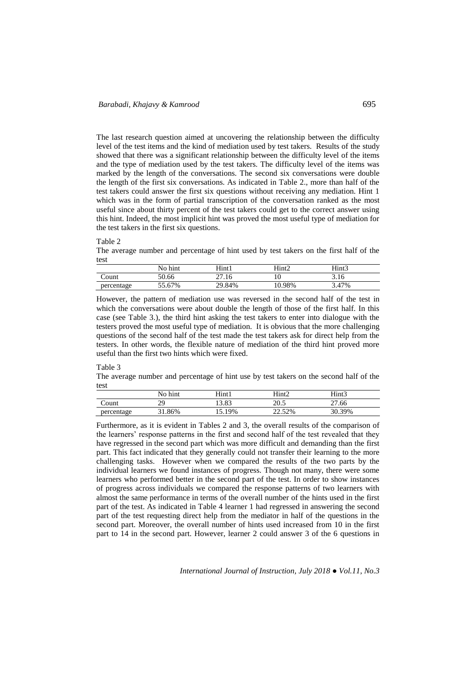The last research question aimed at uncovering the relationship between the difficulty level of the test items and the kind of mediation used by test takers. Results of the study showed that there was a significant relationship between the difficulty level of the items and the type of mediation used by the test takers. The difficulty level of the items was marked by the length of the conversations. The second six conversations were double the length of the first six conversations. As indicated in Table 2., more than half of the test takers could answer the first six questions without receiving any mediation. Hint 1 which was in the form of partial transcription of the conversation ranked as the most useful since about thirty percent of the test takers could get to the correct answer using this hint. Indeed, the most implicit hint was proved the most useful type of mediation for the test takers in the first six questions.

# Table 2

The average number and percentage of hint used by test takers on the first half of the test

|            | hint<br>No | Hintl                   | $\frac{1}{2}$ int2 | Hint3 |
|------------|------------|-------------------------|--------------------|-------|
| .`ount     | 50.66      | ົ<br>7.16<br><u>، ،</u> | 10                 | 3.16  |
| percentage | .67%       | .84%<br>າດ              | .98%               | 47%   |

However, the pattern of mediation use was reversed in the second half of the test in which the conversations were about double the length of those of the first half. In this case (see Table 3.), the third hint asking the test takers to enter into dialogue with the testers proved the most useful type of mediation. It is obvious that the more challenging questions of the second half of the test made the test takers ask for direct help from the testers. In other words, the flexible nature of mediation of the third hint proved more useful than the first two hints which were fixed.

#### Table 3

The average number and percentage of hint use by test takers on the second half of the test

|            | <b>. .</b><br>No<br>hint | Hint <sub>1</sub>                      | $\rm{Hint}$  | Hint3                |
|------------|--------------------------|----------------------------------------|--------------|----------------------|
| Count      | ٦C<br>رے                 | $\left\langle 8^{\circ} \right\rangle$ | າດ ເ<br>20.J | $\mathcal{L}$<br>.66 |
| percentage | 86%                      | 19%                                    | 22.52%       | 39%<br>20            |

Furthermore, as it is evident in Tables 2 and 3, the overall results of the comparison of the learners' response patterns in the first and second half of the test revealed that they have regressed in the second part which was more difficult and demanding than the first part. This fact indicated that they generally could not transfer their learning to the more challenging tasks. However when we compared the results of the two parts by the individual learners we found instances of progress. Though not many, there were some learners who performed better in the second part of the test. In order to show instances of progress across individuals we compared the response patterns of two learners with almost the same performance in terms of the overall number of the hints used in the first part of the test. As indicated in Table 4 learner 1 had regressed in answering the second part of the test requesting direct help from the mediator in half of the questions in the second part. Moreover, the overall number of hints used increased from 10 in the first part to 14 in the second part. However, learner 2 could answer 3 of the 6 questions in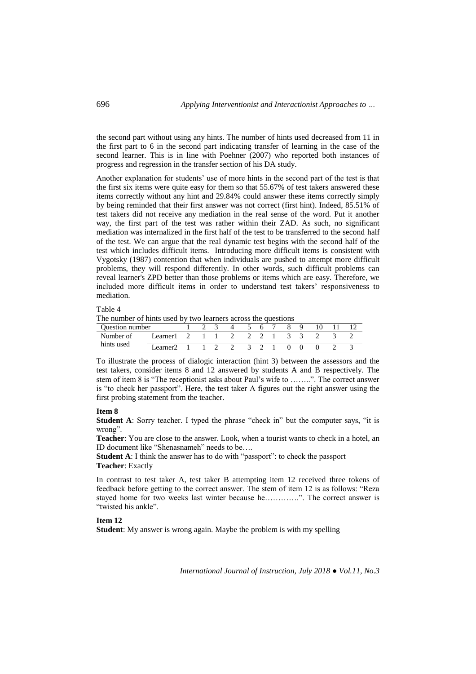the second part without using any hints. The number of hints used decreased from 11 in the first part to 6 in the second part indicating transfer of learning in the case of the second learner. This is in line with Poehner (2007) who reported both instances of progress and regression in the transfer section of his DA study.

Another explanation for students' use of more hints in the second part of the test is that the first six items were quite easy for them so that 55.67% of test takers answered these items correctly without any hint and 29.84% could answer these items correctly simply by being reminded that their first answer was not correct (first hint). Indeed, 85.51% of test takers did not receive any mediation in the real sense of the word. Put it another way, the first part of the test was rather within their ZAD. As such, no significant mediation was internalized in the first half of the test to be transferred to the second half of the test. We can argue that the real dynamic test begins with the second half of the test which includes difficult items. Introducing more difficult items is consistent with Vygotsky (1987) contention that when individuals are pushed to attempt more difficult problems, they will respond differently. In other words, such difficult problems can reveal learner's ZPD better than those problems or items which are easy. Therefore, we included more difficult items in order to understand test takers' responsiveness to mediation.

#### Table 4

The number of hints used by two learners across the questions

| Question number         |           |  |  |  |  |  |  |
|-------------------------|-----------|--|--|--|--|--|--|
| Number of<br>hints used | -earner l |  |  |  |  |  |  |
|                         | Learner'. |  |  |  |  |  |  |

To illustrate the process of dialogic interaction (hint 3) between the assessors and the test takers, consider items 8 and 12 answered by students A and B respectively. The stem of item 8 is "The receptionist asks about Paul's wife to ……..". The correct answer is "to check her passport". Here, the test taker A figures out the right answer using the first probing statement from the teacher.

#### **Item 8**

**Student A**: Sorry teacher. I typed the phrase "check in" but the computer says, "it is wrong".

**Teacher**: You are close to the answer. Look, when a tourist wants to check in a hotel, an ID document like "Shenasnameh" needs to be….

**Student A**: I think the answer has to do with "passport": to check the passport **Teacher**: Exactly

In contrast to test taker A, test taker B attempting item 12 received three tokens of feedback before getting to the correct answer. The stem of item 12 is as follows: "Reza stayed home for two weeks last winter because he………….". The correct answer is "twisted his ankle".

#### **Item 12**

**Student**: My answer is wrong again. Maybe the problem is with my spelling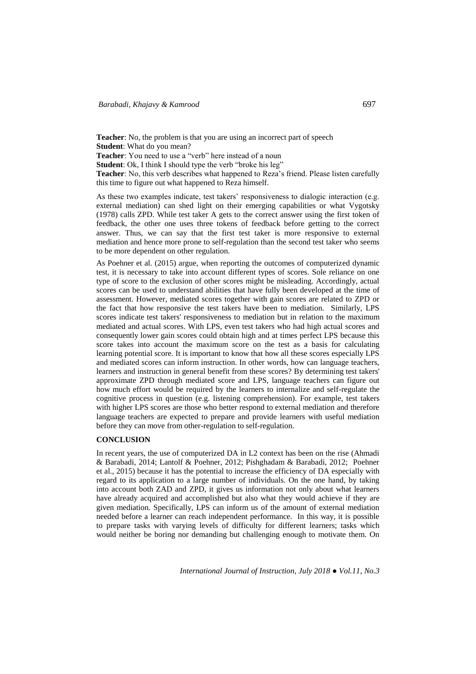**Teacher**: No, the problem is that you are using an incorrect part of speech **Student**: What do you mean? **Teacher**: You need to use a "verb" here instead of a noun **Student**: Ok, I think I should type the verb "broke his leg" **Teacher**: No, this verb describes what happened to Reza's friend. Please listen carefully this time to figure out what happened to Reza himself.

As these two examples indicate, test takers' responsiveness to dialogic interaction (e.g. external mediation) can shed light on their emerging capabilities or what Vygotsky (1978) calls ZPD. While test taker A gets to the correct answer using the first token of feedback, the other one uses three tokens of feedback before getting to the correct answer. Thus, we can say that the first test taker is more responsive to external mediation and hence more prone to self-regulation than the second test taker who seems to be more dependent on other regulation.

As Poehner et al. (2015) argue, when reporting the outcomes of computerized dynamic test, it is necessary to take into account different types of scores. Sole reliance on one type of score to the exclusion of other scores might be misleading. Accordingly, actual scores can be used to understand abilities that have fully been developed at the time of assessment. However, mediated scores together with gain scores are related to ZPD or the fact that how responsive the test takers have been to mediation. Similarly, LPS scores indicate test takers' responsiveness to mediation but in relation to the maximum mediated and actual scores. With LPS, even test takers who had high actual scores and consequently lower gain scores could obtain high and at times perfect LPS because this score takes into account the maximum score on the test as a basis for calculating learning potential score. It is important to know that how all these scores especially LPS and mediated scores can inform instruction. In other words, how can language teachers, learners and instruction in general benefit from these scores? By determining test takers' approximate ZPD through mediated score and LPS, language teachers can figure out how much effort would be required by the learners to internalize and self-regulate the cognitive process in question (e.g. listening comprehension). For example, test takers with higher LPS scores are those who better respond to external mediation and therefore language teachers are expected to prepare and provide learners with useful mediation before they can move from other-regulation to self-regulation.

#### **CONCLUSION**

In recent years, the use of computerized DA in L2 context has been on the rise (Ahmadi & Barabadi, 2014; Lantolf & Poehner, 2012; Pishghadam & Barabadi, 2012; Poehner et al., 2015) because it has the potential to increase the efficiency of DA especially with regard to its application to a large number of individuals. On the one hand, by taking into account both ZAD and ZPD, it gives us information not only about what learners have already acquired and accomplished but also what they would achieve if they are given mediation. Specifically, LPS can inform us of the amount of external mediation needed before a learner can reach independent performance. In this way, it is possible to prepare tasks with varying levels of difficulty for different learners; tasks which would neither be boring nor demanding but challenging enough to motivate them. On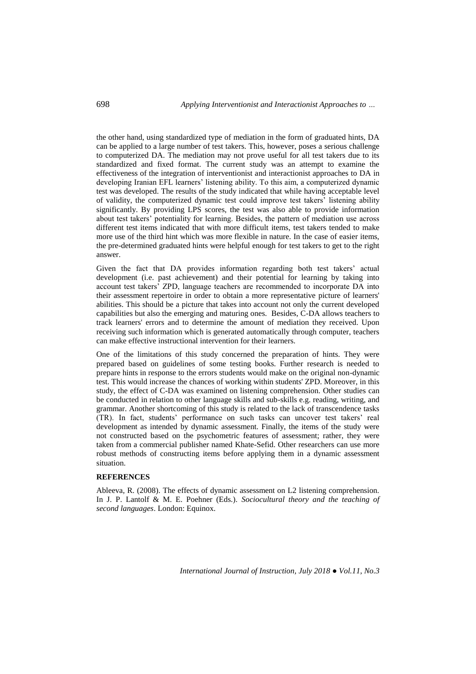the other hand, using standardized type of mediation in the form of graduated hints, DA can be applied to a large number of test takers. This, however, poses a serious challenge to computerized DA. The mediation may not prove useful for all test takers due to its standardized and fixed format. The current study was an attempt to examine the effectiveness of the integration of interventionist and interactionist approaches to DA in developing Iranian EFL learners' listening ability. To this aim, a computerized dynamic test was developed. The results of the study indicated that while having acceptable level of validity, the computerized dynamic test could improve test takers' listening ability significantly. By providing LPS scores, the test was also able to provide information about test takers' potentiality for learning. Besides, the pattern of mediation use across different test items indicated that with more difficult items, test takers tended to make more use of the third hint which was more flexible in nature. In the case of easier items, the pre-determined graduated hints were helpful enough for test takers to get to the right answer.

Given the fact that DA provides information regarding both test takers' actual development (i.e. past achievement) and their potential for learning by taking into account test takers' ZPD, language teachers are recommended to incorporate DA into their assessment repertoire in order to obtain a more representative picture of learners' abilities. This should be a picture that takes into account not only the current developed capabilities but also the emerging and maturing ones. Besides, C-DA allows teachers to track learners' errors and to determine the amount of mediation they received. Upon receiving such information which is generated automatically through computer, teachers can make effective instructional intervention for their learners.

One of the limitations of this study concerned the preparation of hints. They were prepared based on guidelines of some testing books. Further research is needed to prepare hints in response to the errors students would make on the original non-dynamic test. This would increase the chances of working within students' ZPD. Moreover, in this study, the effect of C-DA was examined on listening comprehension. Other studies can be conducted in relation to other language skills and sub-skills e.g. reading, writing, and grammar. Another shortcoming of this study is related to the lack of transcendence tasks (TR). In fact, students' performance on such tasks can uncover test takers' real development as intended by dynamic assessment. Finally, the items of the study were not constructed based on the psychometric features of assessment; rather, they were taken from a commercial publisher named Khate-Sefid. Other researchers can use more robust methods of constructing items before applying them in a dynamic assessment situation.

# **REFERENCES**

Ableeva, R. (2008). The effects of dynamic assessment on L2 listening comprehension. In J. P. Lantolf & M. E. Poehner (Eds.). *Sociocultural theory and the teaching of second languages*. London: Equinox.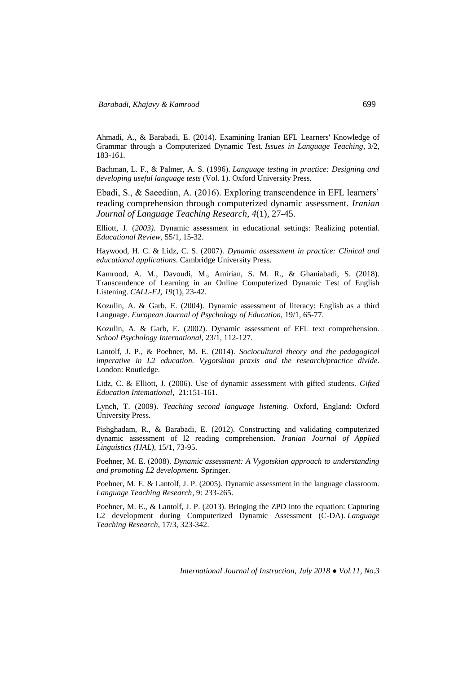Ahmadi, A., & Barabadi, E. (2014). Examining Iranian EFL Learners' Knowledge of Grammar through a Computerized Dynamic Test. *Issues in Language Teaching*, 3/2, 183-161.

Bachman, L. F., & Palmer, A. S. (1996). *Language testing in practice: Designing and developing useful language tests* (Vol. 1). Oxford University Press.

Ebadi, S., & Saeedian, A. (2016). Exploring transcendence in EFL learners' reading comprehension through computerized dynamic assessment. *Iranian Journal of Language Teaching Research*, *4*(1), 27-45.

Elliott, J. (*2003)*. Dynamic assessment in educational settings: Realizing potential*. Educational Review,* 55/1*,* 15-32.

Haywood, H. C. & Lidz, C. S. (2007). *Dynamic assessment in practice: Clinical and educational applications*. Cambridge University Press.

Kamrood, A. M., Davoudi, M., Amirian, S. M. R., & Ghaniabadi, S. (2018). Transcendence of Learning in an Online Computerized Dynamic Test of English Listening. *CALL-EJ, 19*(1), 23-42.

Kozulin, A. & Garb, E. (2004). Dynamic assessment of literacy: English as a third Language. *European Journal of Psychology of Education,* 19/1, 65-77.

Kozulin, A. & Garb, E. (2002). Dynamic assessment of EFL text comprehension. *School Psychology International,* 23/1, 112-127.

Lantolf, J. P., & Poehner, M. E. (2014). *Sociocultural theory and the pedagogical imperative in L2 education. Vygotskian praxis and the research/practice divide*. London: Routledge.

Lidz, C. & Elliott, J. (2006). Use of dynamic assessment with gifted students. *Gifted Education Intemational*, 21:151-161.

Lynch, T. (2009). *Teaching second language listening*. Oxford, England: Oxford University Press.

Pishghadam, R., & Barabadi, E. (2012). Constructing and validating computerized dynamic assessment of l2 reading comprehension. *Iranian Journal of Applied Linguistics (IJAL),* 15/1, 73-95.

Poehner, M. E. (2008). *Dynamic assessment: A Vygotskian approach to understanding and promoting L2 development.* Springer.

Poehner, M. E. & Lantolf, J. P. (2005). Dynamic assessment in the language classroom. *Language Teaching Research*, 9: 233-265.

Poehner, M. E., & Lantolf, J. P. (2013). Bringing the ZPD into the equation: Capturing L2 development during Computerized Dynamic Assessment (C-DA). *Language Teaching Research*, 17/3, 323-342.